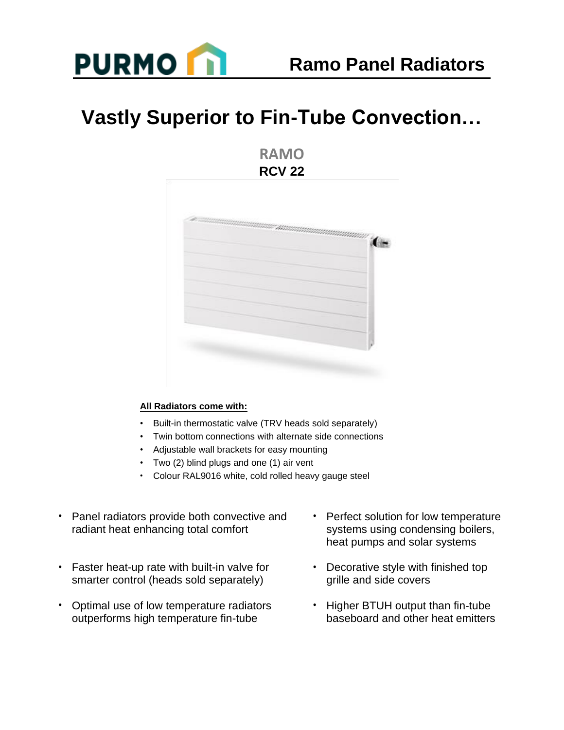

## **Vastly Superior to Fin-Tube Convection…**

**RAMO RCV 22**



## **All Radiators come with:**

- Built-in thermostatic valve (TRV heads sold separately)
- Twin bottom connections with alternate side connections
- Adjustable wall brackets for easy mounting
- Two (2) blind plugs and one (1) air vent
- Colour RAL9016 white, cold rolled heavy gauge steel
- Panel radiators provide both convective and radiant heat enhancing total comfort
- Faster heat-up rate with built-in valve for smarter control (heads sold separately)
- Optimal use of low temperature radiators outperforms high temperature fin-tube
- Perfect solution for low temperature systems using condensing boilers, heat pumps and solar systems
- Decorative style with finished top grille and side covers
- Higher BTUH output than fin-tube baseboard and other heat emitters